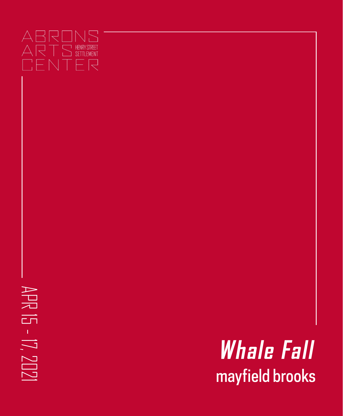## **ABRONS** ARTS HENRYSTREET CENTER

APR 15 - 17, 2021

 $15 - 17, 2021$ 

APR

mayfield brooks **Whale Fall**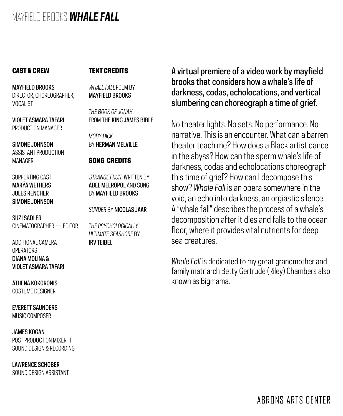#### CAST & CREW

#### TEXT CREDITS

MAYFIELD BROOKS DIRECTOR, CHOREOGRAPHER, VOCALIST

VIOLET ASMARA TAFARI PRODUCTION MANAGER

SIMONE JOHNSON ASSISTANT PRODUCTION MANAGER

SUPPORTING CAST MARÝA WETHERS JULES RENCHER SIMONE JOHNSON

SUZI SADLER  $CINFMATORAPHFR + FDITION$ 

ADDITIONAL CAMERA **OPERATORS** DIANA MOLINA & VIOLET ASMARA TAFARI

ATHENA KOKORONIS COSTUME DESIGNER

EVERETT SAUNDERS MUSIC COMPOSER

JAMES KOGAN POST PRODUCTION MIXER  $+$ SOUND DESIGN & RECORDING

LAWRENCE SCHOBER SOUND DESIGN ASSISTANT WHAIF FALL POFM BY MAYFIELD BROOKS

*THE BOOK OF JONAH* FROM THE KING JAMES BIBLE

*MOBY DICK* BY HERMAN MELVILLE

#### SONG CREDITS

STRANGE FRUIT WRITTEN BY ABEL MEEROPOL AND SUNG BY MAYFIELD BROOKS

*SUNDER* BY NICOLAS JAAR

*THE PSYCHOLOGICALLY ULTIMATE SEASHORE* BY IRV TEIBEL

A virtual premiere of a video work by mayfield brooks that considers how a whale's life of darkness, codas, echolocations, and vertical slumbering can choreograph a time of grief.

No theater lights. No sets. No performance. No narrative. This is an encounter. What can a barren theater teach me? How does a Black artist dance in the abyss? How can the sperm whale's life of darkness, codas and echolocations choreograph this time of grief? How can I decompose this show? *Whale Fall* is an opera somewhere in the void, an echo into darkness, an orgiastic silence. A "whale fall" describes the process of a whale's decomposition after it dies and falls to the ocean floor, where it provides vital nutrients for deep sea creatures.

*Whale Fall* is dedicated to my great grandmother and family matriarch Betty Gertrude (Riley) Chambers also known as Bigmama.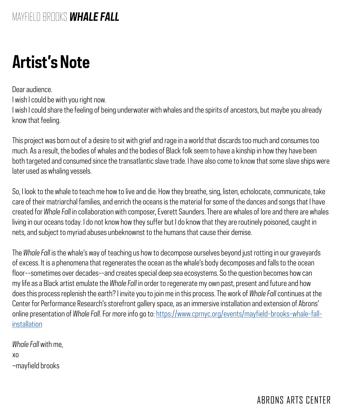## **Artist's Note**

Dear audience.

I wish I could be with you right now.

I wish I could share the feeling of being underwater with whales and the spirits of ancestors, but maybe you already know that feeling.

This project was born out of a desire to sit with grief and rage in a world that discards too much and consumes too much. As a result, the bodies of whales and the bodies of Black folk seem to have a kinship in how they have been both targeted and consumed since the transatlantic slave trade. I have also come to know that some slave ships were later used as whaling vessels.

So, I look to the whale to teach me how to live and die. How they breathe, sing, listen, echolocate, communicate, take care of their matriarchal families, and enrich the oceans is the material for some of the dances and songs that I have created for *Whale Fall* in collaboration with composer, Everett Saunders. There are whales of lore and there are whales living in our oceans today. I do not know how they suffer but I do know that they are routinely poisoned, caught in nets, and subject to myriad abuses unbeknownst to the humans that cause their demise.

The *Whale Fall* is the whale's way of teaching us how to decompose ourselves beyond just rotting in our graveyards of excess. It is a phenomena that regenerates the ocean as the whale's body decomposes and falls to the ocean floor--sometimes over decades--and creates special deep sea ecosystems. So the question becomes how can my life as a Black artist emulate the *Whale Fall* in order to regenerate my own past, present and future and how does this process replenish the earth? I invite you to join me in this process. The work of *Whale Fall* continues at the Center for Performance Research's storefront gallery space, as an immersive installation and extension of Abrons' online presentation of *Whale Fall*. For more info go to: [https://www.cprnyc.org/events/mayfield-brooks-whale-fall](https://www.cprnyc.org/events/mayfield-brooks-whale-fall-installation)[installation](https://www.cprnyc.org/events/mayfield-brooks-whale-fall-installation)

*Whale Fall* with me, xo ~mayfield brooks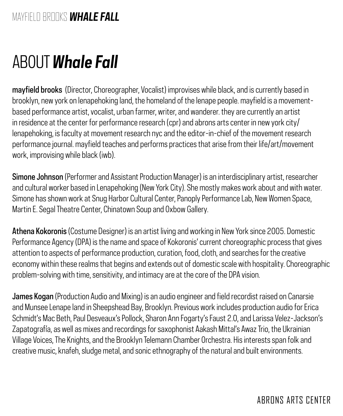# ABOUT *Whale Fall*

mayfield brooks (Director, Choreographer, Vocalist) improvises while black, and is currently based in brooklyn, new york on lenapehoking land, the homeland of the lenape people. mayfield is a movementbased performance artist, vocalist, urban farmer, writer, and wanderer. they are currently an artist in residence at the center for performance research (cpr) and abrons arts center in new york city/ lenapehoking, is faculty at movement research nyc and the editor-in-chief of the movement research performance journal. mayfield teaches and performs practices that arise from their life/art/movement work, improvising while black (iwb).

Simone Johnson (Performer and Assistant Production Manager) is an interdisciplinary artist, researcher and cultural worker based in Lenapehoking (New York City). She mostly makes work about and with water. Simone has shown work at Snug Harbor Cultural Center, Panoply Performance Lab, New Women Space, Martin E. Segal Theatre Center, Chinatown Soup and Oxbow Gallery.

Athena Kokoronis (Costume Designer) is an artist living and working in New York since 2005. Domestic Performance Agency (DPA) is the name and space of Kokoronis' current choreographic process that gives attention to aspects of performance production, curation, food, cloth, and searches for the creative economy within these realms that begins and extends out of domestic scale with hospitality. Choreographic problem-solving with time, sensitivity, and intimacy are at the core of the DPA vision.

James Kogan (Production Audio and Mixing) is an audio engineer and field recordist raised on Canarsie and Munsee Lenape land in Sheepshead Bay, Brooklyn. Previous work includes production audio for Erica Schmidt's Mac Beth, Paul Desveaux's Pollock, Sharon Ann Fogarty's Faust 2.0, and Larissa Velez-Jackson's Zapatografía, as well as mixes and recordings for saxophonist Aakash Mittal's Awaz Trio, the Ukrainian Village Voices, The Knights, and the Brooklyn Telemann Chamber Orchestra. His interests span folk and creative music, knafeh, sludge metal, and sonic ethnography of the natural and built environments.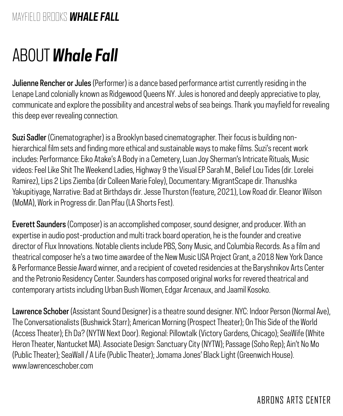## ABOUT *Whale Fall*

Julienne Rencher or Jules (Performer) is a dance based performance artist currently residing in the Lenape Land colonially known as Ridgewood Queens NY. Jules is honored and deeply appreciative to play, communicate and explore the possibility and ancestral webs of sea beings. Thank you mayfield for revealing this deep ever revealing connection.

Suzi Sadler (Cinematographer) is a Brooklyn based cinematographer. Their focus is building nonhierarchical film sets and finding more ethical and sustainable ways to make films. Suzi's recent work includes: Performance: Eiko Atake's A Body in a Cemetery, Luan Joy Sherman's Intricate Rituals, Music videos: Feel Like Shit The Weekend Ladies, Highway 9 the Visual EP Sarah M., Belief Lou Tides (dir. Lorelei Ramirez), Lips 2 Lips Ziemba (dir Colleen Marie Foley), Documentary: MigrantScape dir. Thanushka Yakupitiyage, Narrative: Bad at Birthdays dir. Jesse Thurston (feature, 2021), Low Road dir. Eleanor Wilson (MoMA), Work in Progress dir. Dan Pfau (LA Shorts Fest).

Everett Saunders (Composer) is an accomplished composer, sound designer, and producer. With an expertise in audio post-production and multi track board operation, he is the founder and creative director of Flux Innovations. Notable clients include PBS, Sony Music, and Columbia Records. As a film and theatrical composer he's a two time awardee of the New Music USA Project Grant, a 2018 New York Dance & Performance Bessie Award winner, and a recipient of coveted residencies at the Baryshnikov Arts Center and the Petronio Residency Center. Saunders has composed original works for revered theatrical and contemporary artists including Urban Bush Women, Edgar Arcenaux, and Jaamil Kosoko.

Lawrence Schober (Assistant Sound Designer) is a theatre sound designer. NYC: Indoor Person (Normal Ave), The Conversationalists (Bushwick Starr); American Morning (Prospect Theater); On This Side of the World (Access Theater); Eh Da? (NYTW Next Door). Regional: Pillowtalk (Victory Gardens, Chicago); SeaWife (White Heron Theater, Nantucket MA). Associate Design: Sanctuary City (NYTW); Passage (Soho Rep); Ain't No Mo (Public Theater); SeaWall / A Life (Public Theater); Jomama Jones' Black Light (Greenwich House). www.lawrenceschober.com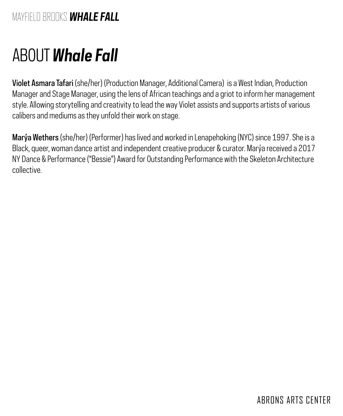## ABOUT *Whale Fall*

Violet Asmara Tafari (she/her) (Production Manager, Additional Camera) is a West Indian, Production Manager and Stage Manager, using the lens of African teachings and a griot to inform her management style. Allowing storytelling and creativity to lead the way Violet assists and supports artists of various calibers and mediums as they unfold their work on stage.

Marýa Wethers (she/her) (Performer) has lived and worked in Lenapehoking (NYC) since 1997. She is a Black, queer, woman dance artist and independent creative producer & curator. Marýa received a 2017 NY Dance & Performance ("Bessie") Award for Outstanding Performance with the Skeleton Architecture collective.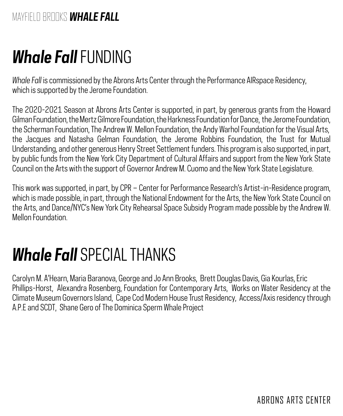## *Whale Fall* FUNDING

*Whale Fall* is commissioned by the Abrons Arts Center through the Performance AIRspace Residency, which is supported by the Jerome Foundation.

The 2020-2021 Season at Abrons Arts Center is supported, in part, by generous grants from the Howard Gilman Foundation, the Mertz Gilmore Foundation, the Harkness Foundation for Dance, the Jerome Foundation, the Scherman Foundation, The Andrew W. Mellon Foundation, the Andy Warhol Foundation for the Visual Arts, the Jacques and Natasha Gelman Foundation, the Jerome Robbins Foundation, the Trust for Mutual Understanding, and other generous Henry Street Settlement funders. This program is also supported, in part, by public funds from the New York City Department of Cultural Affairs and support from the New York State Council on the Arts with the support of Governor Andrew M. Cuomo and the New York State Legislature.

This work was supported, in part, by CPR – Center for Performance Research's Artist-in-Residence program, which is made possible, in part, through the National Endowment for the Arts, the New York State Council on the Arts, and Dance/NYC's New York City Rehearsal Space Subsidy Program made possible by the Andrew W. Mellon Foundation.

## *Whale Fall* SPECIAL THANKS

Carolyn M. A'Hearn, Maria Baranova, George and Jo Ann Brooks, Brett Douglas Davis, Gia Kourlas, Eric Phillips-Horst, Alexandra Rosenberg, Foundation for Contemporary Arts, Works on Water Residency at the Climate Museum Governors Island, Cape Cod Modern House Trust Residency, Access/Axis residency through A.P.E and SCDT, Shane Gero of The Dominica Sperm Whale Project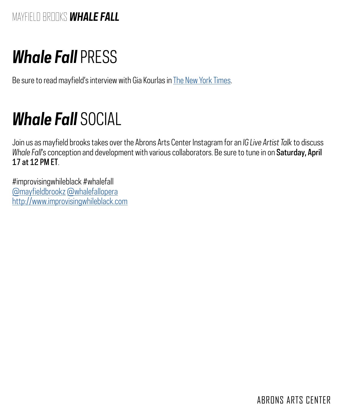## *Whale Fall* PRESS

Be sure to read mayfield's interview with Gia Kourlas in [The New York Times](https://www.nytimes.com/2021/04/14/arts/dance/mayfield-brooks-whale-fall.html?searchResultPosition=2&fbclid=IwAR32kj66JQmCxOVJmPIsGc5-19wMDG4za4S4VGjc1liEeZbxk_Rk3nipxsc).

## *Whale Fall* SOCIAL

Join us as mayfield brooks takes over the Abrons Arts Center Instagram for an *IG Live Artist Talk* to discuss *Whale Fall*'s conception and development with various collaborators. Be sure to tune in on Saturday, April 17 at 12 PM ET.

#improvisingwhileblack #whalefall [@mayfieldbrookz](https://www.instagram.com/mayfieldbrookz/?hl=en) [@whalefallopera](https://www.instagram.com/whalefallopera/) <http://www.improvisingwhileblack.com>